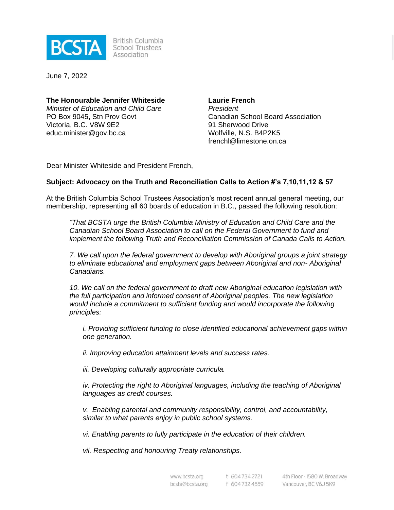

**British Columbia** School Trustees Association

June 7, 2022

**The Honourable Jennifer Whiteside** *Minister of Education and Child Care* PO Box 9045, Stn Prov Govt Victoria, B.C. V8W 9E2 educ.minister@gov.bc.ca

**Laurie French** *President* Canadian School Board Association 91 Sherwood Drive Wolfville, N.S. B4P2K5 frenchl@limestone.on.ca

Dear Minister Whiteside and President French,

### **Subject: Advocacy on the Truth and Reconciliation Calls to Action #'s 7,10,11,12 & 57**

At the British Columbia School Trustees Association's most recent annual general meeting, our membership, representing all 60 boards of education in B.C., passed the following resolution:

*"That BCSTA urge the British Columbia Ministry of Education and Child Care and the Canadian School Board Association to call on the Federal Government to fund and implement the following Truth and Reconciliation Commission of Canada Calls to Action.*

*7. We call upon the federal government to develop with Aboriginal groups a joint strategy to eliminate educational and employment gaps between Aboriginal and non- Aboriginal Canadians.*

*10. We call on the federal government to draft new Aboriginal education legislation with the full participation and informed consent of Aboriginal peoples. The new legislation would include a commitment to sufficient funding and would incorporate the following principles:*

*i. Providing sufficient funding to close identified educational achievement gaps within one generation.*

*ii. Improving education attainment levels and success rates.*

*iii. Developing culturally appropriate curricula.*

*iv. Protecting the right to Aboriginal languages, including the teaching of Aboriginal languages as credit courses.*

*v. Enabling parental and community responsibility, control, and accountability, similar to what parents enjoy in public school systems.*

*vi. Enabling parents to fully participate in the education of their children.*

*vii. Respecting and honouring Treaty relationships.*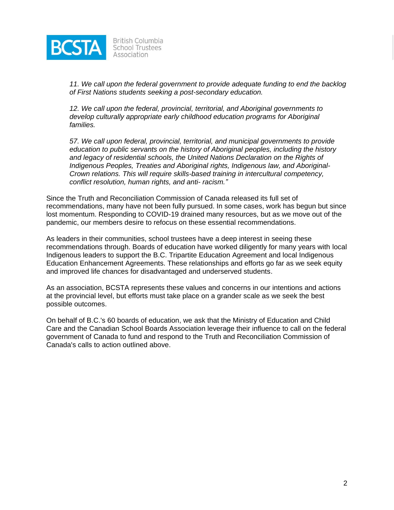

**British Columbia School Trustees** Association

*11. We call upon the federal government to provide adequate funding to end the backlog of First Nations students seeking a post-secondary education.*

*12. We call upon the federal, provincial, territorial, and Aboriginal governments to develop culturally appropriate early childhood education programs for Aboriginal families.*

*57. We call upon federal, provincial, territorial, and municipal governments to provide education to public servants on the history of Aboriginal peoples, including the history and legacy of residential schools, the United Nations Declaration on the Rights of Indigenous Peoples, Treaties and Aboriginal rights, Indigenous law, and Aboriginal-Crown relations. This will require skills-based training in intercultural competency, conflict resolution, human rights, and anti- racism."*

Since the Truth and Reconciliation Commission of Canada released its full set of recommendations, many have not been fully pursued. In some cases, work has begun but since lost momentum. Responding to COVID-19 drained many resources, but as we move out of the pandemic, our members desire to refocus on these essential recommendations.

As leaders in their communities, school trustees have a deep interest in seeing these recommendations through. Boards of education have worked diligently for many years with local Indigenous leaders to support the B.C. Tripartite Education Agreement and local Indigenous Education Enhancement Agreements. These relationships and efforts go far as we seek equity and improved life chances for disadvantaged and underserved students.

As an association, BCSTA represents these values and concerns in our intentions and actions at the provincial level, but efforts must take place on a grander scale as we seek the best possible outcomes.

On behalf of B.C.'s 60 boards of education, we ask that the Ministry of Education and Child Care and the Canadian School Boards Association leverage their influence to call on the federal government of Canada to fund and respond to the Truth and Reconciliation Commission of Canada's calls to action outlined above.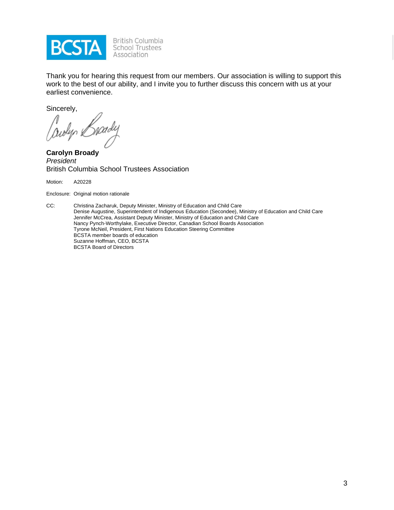

British Columbia<br>School Trustees Association

Thank you for hearing this request from our members. Our association is willing to support this work to the best of our ability, and I invite you to further discuss this concern with us at your earliest convenience.

Sincerely,

Jowlyn Brady

**Carolyn Broady** *President* British Columbia School Trustees Association

Motion: A20228

Enclosure: Original motion rationale

CC: Christina Zacharuk, Deputy Minister, Ministry of Education and Child Care Denise Augustine, Superintendent of Indigenous Education (Secondee), Ministry of Education and Child Care Jennifer McCrea, Assistant Deputy Minister, Ministry of Education and Child Care Nancy Pynch-Worthylake, Executive Director, Canadian School Boards Association Tyrone McNeil, President, First Nations Education Steering Committee BCSTA member boards of education Suzanne Hoffman, CEO, BCSTA BCSTA Board of Directors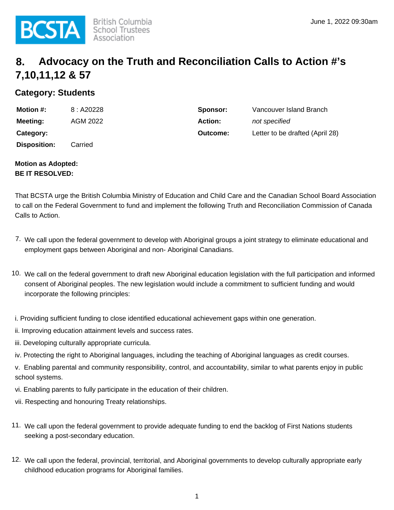

# **8. Advocacy on the Truth and Reconciliation Calls to Action #'s 7,10,11,12 & 57**

# **Category: Students**

| <b>Motion #:</b>    | 8: A20228 | Sponsor:       | Vancouver Island Branch         |
|---------------------|-----------|----------------|---------------------------------|
| <b>Meeting:</b>     | AGM 2022  | <b>Action:</b> | not specified                   |
| Category:           |           | Outcome:       | Letter to be drafted (April 28) |
| <b>Disposition:</b> | Carried   |                |                                 |

#### **Motion as Adopted: BE IT RESOLVED:**

That BCSTA urge the British Columbia Ministry of Education and Child Care and the Canadian School Board Association to call on the Federal Government to fund and implement the following Truth and Reconciliation Commission of Canada Calls to Action.

- 7. We call upon the federal government to develop with Aboriginal groups a joint strategy to eliminate educational and employment gaps between Aboriginal and non- Aboriginal Canadians.
- 10. We call on the federal government to draft new Aboriginal education legislation with the full participation and informed consent of Aboriginal peoples. The new legislation would include a commitment to sufficient funding and would incorporate the following principles:

i. Providing sufficient funding to close identified educational achievement gaps within one generation.

- ii. Improving education attainment levels and success rates.
- iii. Developing culturally appropriate curricula.
- iv. Protecting the right to Aboriginal languages, including the teaching of Aboriginal languages as credit courses.

v. Enabling parental and community responsibility, control, and accountability, similar to what parents enjoy in public school systems.

- vi. Enabling parents to fully participate in the education of their children.
- vii. Respecting and honouring Treaty relationships.
- 11. We call upon the federal government to provide adequate funding to end the backlog of First Nations students seeking a post-secondary education.
- 12. We call upon the federal, provincial, territorial, and Aboriginal governments to develop culturally appropriate early childhood education programs for Aboriginal families.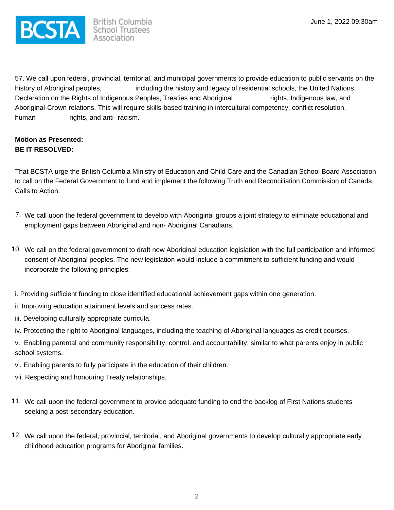

57. We call upon federal, provincial, territorial, and municipal governments to provide education to public servants on the history of Aboriginal peoples, including the history and legacy of residential schools, the United Nations Declaration on the Rights of Indigenous Peoples, Treaties and Aboriginal rights, Indigenous law, and Aboriginal-Crown relations. This will require skills-based training in intercultural competency, conflict resolution, human rights, and anti-racism.

## **Motion as Presented: BE IT RESOLVED:**

That BCSTA urge the British Columbia Ministry of Education and Child Care and the Canadian School Board Association to call on the Federal Government to fund and implement the following Truth and Reconciliation Commission of Canada Calls to Action.

- 7. We call upon the federal government to develop with Aboriginal groups a joint strategy to eliminate educational and employment gaps between Aboriginal and non- Aboriginal Canadians.
- 10. We call on the federal government to draft new Aboriginal education legislation with the full participation and informed consent of Aboriginal peoples. The new legislation would include a commitment to sufficient funding and would incorporate the following principles:
- i. Providing sufficient funding to close identified educational achievement gaps within one generation.
- ii. Improving education attainment levels and success rates.
- iii. Developing culturally appropriate curricula.
- iv. Protecting the right to Aboriginal languages, including the teaching of Aboriginal languages as credit courses.

v. Enabling parental and community responsibility, control, and accountability, similar to what parents enjoy in public school systems.

- vi. Enabling parents to fully participate in the education of their children.
- vii. Respecting and honouring Treaty relationships.
- 11. We call upon the federal government to provide adequate funding to end the backlog of First Nations students seeking a post-secondary education.
- 12. We call upon the federal, provincial, territorial, and Aboriginal governments to develop culturally appropriate early childhood education programs for Aboriginal families.